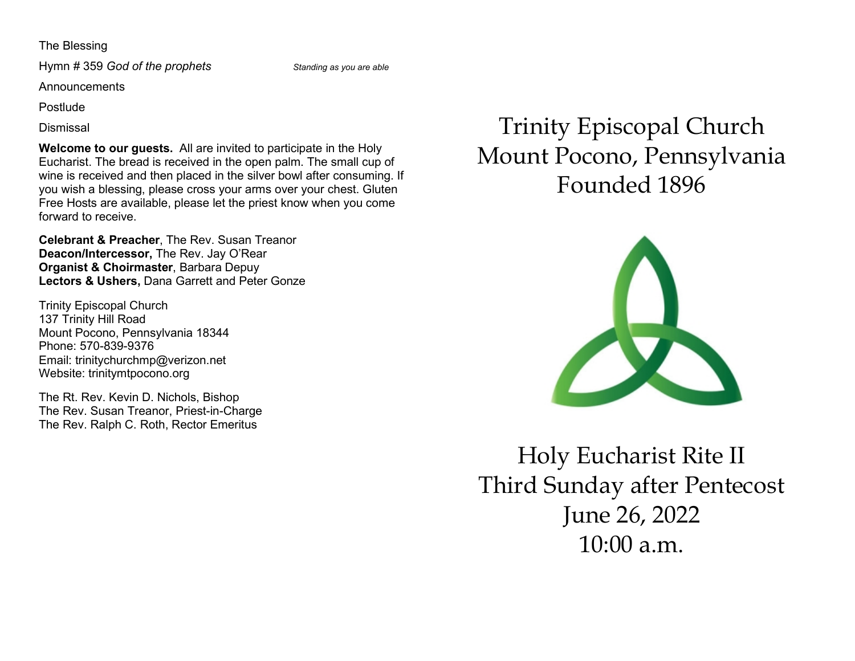#### The Blessing

Hymn # 359 God of the prophets Standing as you are able

Announcements

Postlude

Dismissal

Welcome to our quests. All are invited to participate in the Holy Eucharist. The bread is received in the open palm. The small cup of wine is received and then placed in the silver bowl after consuming. If you wish a blessing, please cross your arms over your chest. Gluten Free Hosts are available, please let the priest know when you come forward to receive.

Celebrant & Preacher, The Rev. Susan Treanor Deacon/Intercessor, The Rev. Jay O'Rear Organist & Choirmaster, Barbara Depuy Lectors & Ushers, Dana Garrett and Peter Gonze

Trinity Episcopal Church 137 Trinity Hill Road Mount Pocono, Pennsylvania 18344 Phone: 570-839-9376 Email: trinitychurchmp@verizon.net Website: trinitymtpocono.org

The Rt. Rev. Kevin D. Nichols, Bishop The Rev. Susan Treanor, Priest-in-Charge The Rev. Ralph C. Roth, Rector Emeritus

# Trinity Episcopal Church Mount Pocono, Pennsylvania Founded 1896



Holy Eucharist Rite II Third Sunday after Pentecost June 26, 2022 10:00 a.m.